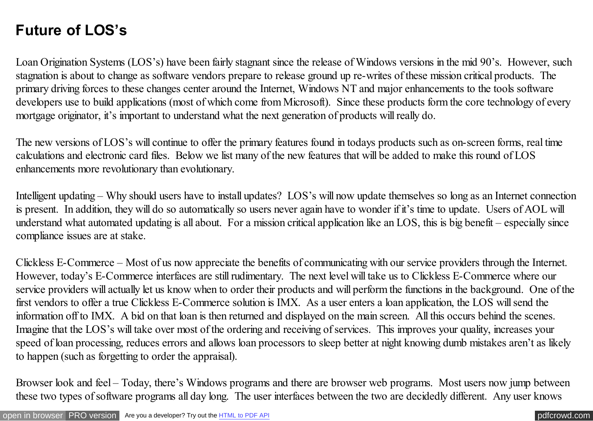## **Future of LOS's**

Loan Origination Systems (LOS's) have been fairly stagnant since the release of Windows versions in the mid 90's. However, such stagnation is about to change as software vendors prepare to release ground up re-writes of these mission critical products. The primary driving forces to these changes center around the Internet, Windows NT and major enhancements to the tools software developers use to build applications (most of which come from Microsoft). Since these products form the core technology of every mortgage originator, it's important to understand what the next generation of products will really do.

The new versions of LOS's will continue to offer the primary features found in todays products such as on-screen forms, real time calculations and electronic card files. Below we list many of the new features that will be added to make this round of LOS enhancements more revolutionary than evolutionary.

Intelligent updating – Why should users have to install updates? LOS's will now update themselves so long as an Internet connection is present. In addition, they will do so automatically so users never again have to wonder if it's time to update. Users of AOL will understand what automated updating is all about. For a mission critical application like an LOS, this is big benefit – especially since compliance issues are at stake.

Clickless E-Commerce – Most of us now appreciate the benefits of communicating with our service providers through the Internet. However, today's E-Commerce interfaces are still rudimentary. The next level will take us to Clickless E-Commerce where our service providers will actually let us know when to order their products and will perform the functions in the background. One of the first vendors to offer a true Clickless E-Commerce solution is IMX. As a user enters a loan application, the LOS will send the information off to IMX. A bid on that loan is then returned and displayed on the main screen. All this occurs behind the scenes. Imagine that the LOS's will take over most of the ordering and receiving of services. This improves your quality, increases your speed of loan processing, reduces errors and allows loan processors to sleep better at night knowing dumb mistakes aren't as likely to happen (such as forgetting to order the appraisal).

Browser look and feel – Today, there's Windows programs and there are browser web programs. Most users now jump between these two types of software programs all day long. The user interfaces between the two are decidedly different. Any user knows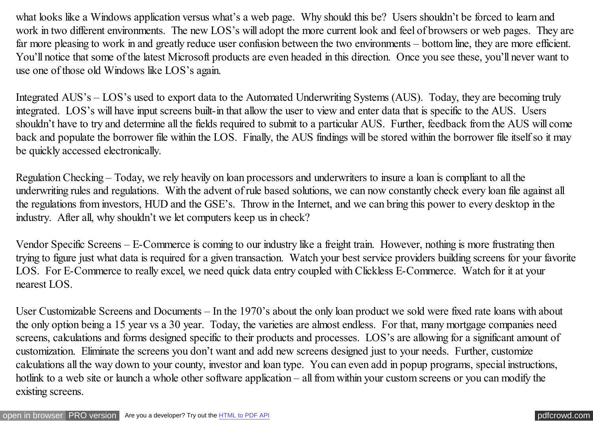what looks like a Windows application versus what's a web page. Why should this be? Users shouldn't be forced to learn and work in two different environments. The new LOS's will adopt the more current look and feel of browsers or web pages. They are far more pleasing to work in and greatly reduce user confusion between the two environments – bottom line, they are more efficient. You'll notice that some of the latest Microsoft products are even headed in this direction. Once you see these, you'll never want to use one of those old Windows like LOS's again.

Integrated AUS's – LOS's used to export data to the Automated Underwriting Systems (AUS). Today, they are becoming truly integrated. LOS's will have input screens built-in that allow the user to view and enter data that is specific to the AUS. Users shouldn't have to try and determine all the fields required to submit to a particular AUS. Further, feedback from the AUS will come back and populate the borrower file within the LOS. Finally, the AUS findings will be stored within the borrower file itself so it may be quickly accessed electronically.

Regulation Checking – Today, we rely heavily on loan processors and underwriters to insure a loan is compliant to all the underwriting rules and regulations. With the advent of rule based solutions, we can now constantly check every loan file against all the regulations from investors, HUD and the GSE's. Throw in the Internet, and we can bring this power to every desktop in the industry. After all, why shouldn't we let computers keep us in check?

Vendor Specific Screens – E-Commerce is coming to our industry like a freight train. However, nothing is more frustrating then trying to figure just what data is required for a given transaction. Watch your best service providers building screens for your favorite LOS. For E-Commerce to really excel, we need quick data entry coupled with Clickless E-Commerce. Watch for it at your nearest LOS.

User Customizable Screens and Documents – In the 1970's about the only loan product we sold were fixed rate loans with about the only option being a 15 year vs a 30 year. Today, the varieties are almost endless. For that, many mortgage companies need screens, calculations and forms designed specific to their products and processes. LOS's are allowing for a significant amount of customization. Eliminate the screens you don't want and add new screens designed just to your needs. Further, customize calculations all the way down to your county, investor and loan type. You can even add in popup programs, special instructions, hotlink to a web site or launch a whole other software application – all from within your custom screens or you can modify the existing screens.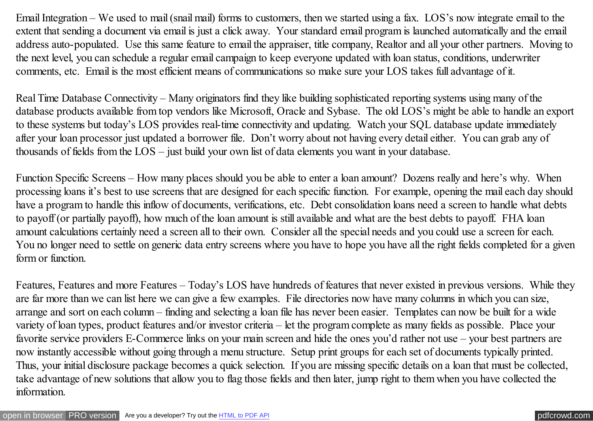Email Integration – We used to mail (snail mail) forms to customers, then we started using a fax. LOS's now integrate email to the extent that sending a document via email is just a click away. Your standard email program is launched automatically and the email address auto-populated. Use this same feature to email the appraiser, title company, Realtor and all your other partners. Moving to the next level, you can schedule a regular email campaign to keep everyone updated with loan status, conditions, underwriter comments, etc. Email is the most efficient means of communications so make sure your LOS takes full advantage of it.

Real Time Database Connectivity – Many originators find they like building sophisticated reporting systems using many of the database products available from top vendors like Microsoft, Oracle and Sybase. The old LOS's might be able to handle an export to these systems but today's LOS provides real-time connectivity and updating. Watch your SQL database update immediately after your loan processor just updated a borrower file. Don't worry about not having every detail either. You can grab any of thousands of fields from the LOS – just build your own list of data elements you want in your database.

Function Specific Screens – How many places should you be able to enter a loan amount? Dozens really and here's why. When processing loans it's best to use screens that are designed for each specific function. For example, opening the mail each day should have a program to handle this inflow of documents, verifications, etc. Debt consolidation loans need a screen to handle what debts to payoff (or partially payoff), how much of the loan amount is still available and what are the best debts to payoff. FHA loan amount calculations certainly need a screen all to their own. Consider all the special needs and you could use a screen for each. You no longer need to settle on generic data entry screens where you have to hope you have all the right fields completed for a given form or function.

Features, Features and more Features – Today's LOS have hundreds of features that never existed in previous versions. While they are far more than we can list here we can give a few examples. File directories now have many columns in which you can size, arrange and sort on each column – finding and selecting a loan file has never been easier. Templates can now be built for a wide variety of loan types, product features and/or investor criteria – let the program complete as many fields as possible. Place your favorite service providers E-Commerce links on your main screen and hide the ones you'd rather not use – your best partners are now instantly accessible without going through a menu structure. Setup print groups for each set of documents typically printed. Thus, your initial disclosure package becomes a quick selection. If you are missing specific details on a loan that must be collected, take advantage of new solutions that allow you to flag those fields and then later, jump right to them when you have collected the information.